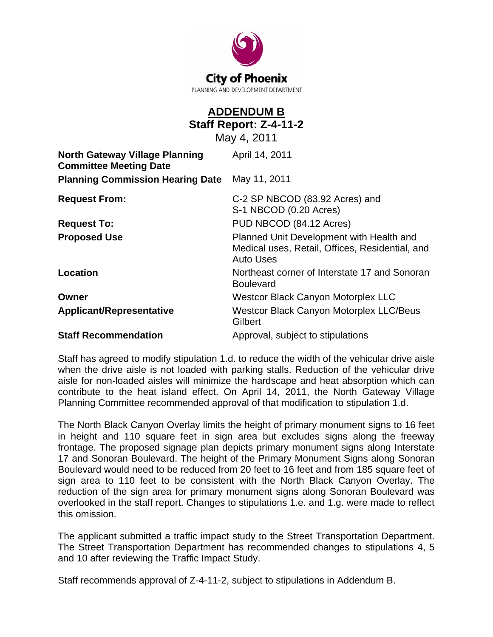

## **ADDENDUM B Staff Report: Z-4-11-2**

May 4, 2011

| <b>North Gateway Village Planning</b><br><b>Committee Meeting Date</b> | April 14, 2011                                                                                                  |
|------------------------------------------------------------------------|-----------------------------------------------------------------------------------------------------------------|
| <b>Planning Commission Hearing Date</b>                                | May 11, 2011                                                                                                    |
| <b>Request From:</b>                                                   | C-2 SP NBCOD (83.92 Acres) and<br>S-1 NBCOD (0.20 Acres)                                                        |
| <b>Request To:</b>                                                     | PUD NBCOD (84.12 Acres)                                                                                         |
| <b>Proposed Use</b>                                                    | Planned Unit Development with Health and<br>Medical uses, Retail, Offices, Residential, and<br><b>Auto Uses</b> |
| Location                                                               | Northeast corner of Interstate 17 and Sonoran<br><b>Boulevard</b>                                               |
| Owner                                                                  | Westcor Black Canyon Motorplex LLC                                                                              |
| <b>Applicant/Representative</b>                                        | Westcor Black Canyon Motorplex LLC/Beus<br>Gilbert                                                              |
| <b>Staff Recommendation</b>                                            | Approval, subject to stipulations                                                                               |

Staff has agreed to modify stipulation 1.d. to reduce the width of the vehicular drive aisle when the drive aisle is not loaded with parking stalls. Reduction of the vehicular drive aisle for non-loaded aisles will minimize the hardscape and heat absorption which can contribute to the heat island effect. On April 14, 2011, the North Gateway Village Planning Committee recommended approval of that modification to stipulation 1.d.

The North Black Canyon Overlay limits the height of primary monument signs to 16 feet in height and 110 square feet in sign area but excludes signs along the freeway frontage. The proposed signage plan depicts primary monument signs along Interstate 17 and Sonoran Boulevard. The height of the Primary Monument Signs along Sonoran Boulevard would need to be reduced from 20 feet to 16 feet and from 185 square feet of sign area to 110 feet to be consistent with the North Black Canyon Overlay. The reduction of the sign area for primary monument signs along Sonoran Boulevard was overlooked in the staff report. Changes to stipulations 1.e. and 1.g. were made to reflect this omission.

The applicant submitted a traffic impact study to the Street Transportation Department. The Street Transportation Department has recommended changes to stipulations 4, 5 and 10 after reviewing the Traffic Impact Study.

Staff recommends approval of Z-4-11-2, subject to stipulations in Addendum B.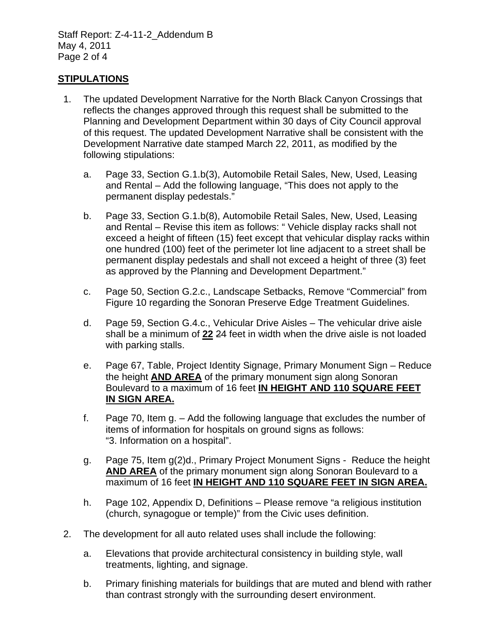Staff Report: Z-4-11-2\_Addendum B May 4, 2011 Page 2 of 4

## **STIPULATIONS**

- 1. The updated Development Narrative for the North Black Canyon Crossings that reflects the changes approved through this request shall be submitted to the Planning and Development Department within 30 days of City Council approval of this request. The updated Development Narrative shall be consistent with the Development Narrative date stamped March 22, 2011, as modified by the following stipulations:
	- a. Page 33, Section G.1.b(3), Automobile Retail Sales, New, Used, Leasing and Rental – Add the following language, "This does not apply to the permanent display pedestals."
	- b. Page 33, Section G.1.b(8), Automobile Retail Sales, New, Used, Leasing and Rental – Revise this item as follows: " Vehicle display racks shall not exceed a height of fifteen (15) feet except that vehicular display racks within one hundred (100) feet of the perimeter lot line adjacent to a street shall be permanent display pedestals and shall not exceed a height of three (3) feet as approved by the Planning and Development Department."
	- c. Page 50, Section G.2.c., Landscape Setbacks, Remove "Commercial" from Figure 10 regarding the Sonoran Preserve Edge Treatment Guidelines.
	- d. Page 59, Section G.4.c., Vehicular Drive Aisles The vehicular drive aisle shall be a minimum of **22** 24 feet in width when the drive aisle is not loaded with parking stalls.
	- e. Page 67, Table, Project Identity Signage, Primary Monument Sign Reduce the height **AND AREA** of the primary monument sign along Sonoran Boulevard to a maximum of 16 feet **IN HEIGHT AND 110 SQUARE FEET IN SIGN AREA.**
	- f. Page 70, Item g. Add the following language that excludes the number of items of information for hospitals on ground signs as follows: "3. Information on a hospital".
	- g. Page 75, Item g(2)d., Primary Project Monument Signs Reduce the height **AND AREA** of the primary monument sign along Sonoran Boulevard to a maximum of 16 feet **IN HEIGHT AND 110 SQUARE FEET IN SIGN AREA.**
	- h. Page 102, Appendix D, Definitions Please remove "a religious institution (church, synagogue or temple)" from the Civic uses definition.
- 2. The development for all auto related uses shall include the following:
	- a. Elevations that provide architectural consistency in building style, wall treatments, lighting, and signage.
	- b. Primary finishing materials for buildings that are muted and blend with rather than contrast strongly with the surrounding desert environment.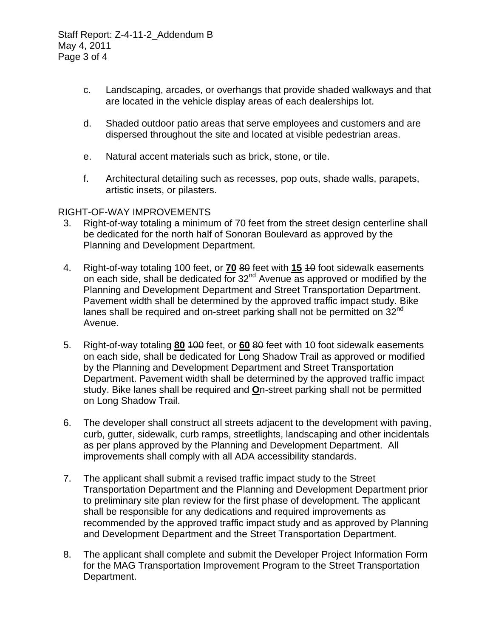Staff Report: Z-4-11-2\_Addendum B May 4, 2011 Page 3 of 4

- c. Landscaping, arcades, or overhangs that provide shaded walkways and that are located in the vehicle display areas of each dealerships lot.
- d. Shaded outdoor patio areas that serve employees and customers and are dispersed throughout the site and located at visible pedestrian areas.
- e. Natural accent materials such as brick, stone, or tile.
- f. Architectural detailing such as recesses, pop outs, shade walls, parapets, artistic insets, or pilasters.

## RIGHT-OF-WAY IMPROVEMENTS

- 3. Right-of-way totaling a minimum of 70 feet from the street design centerline shall be dedicated for the north half of Sonoran Boulevard as approved by the Planning and Development Department.
- 4. Right-of-way totaling 100 feet, or **70** 80 feet with **15** 10 foot sidewalk easements on each side, shall be dedicated for  $32<sup>nd</sup>$  Avenue as approved or modified by the Planning and Development Department and Street Transportation Department. Pavement width shall be determined by the approved traffic impact study. Bike lanes shall be required and on-street parking shall not be permitted on  $32^{\text{nd}}$ Avenue.
- 5. Right-of-way totaling **80** 100 feet, or **60** 80 feet with 10 foot sidewalk easements on each side, shall be dedicated for Long Shadow Trail as approved or modified by the Planning and Development Department and Street Transportation Department. Pavement width shall be determined by the approved traffic impact study. Bike lanes shall be required and **O**n-street parking shall not be permitted on Long Shadow Trail.
- 6. The developer shall construct all streets adjacent to the development with paving, curb, gutter, sidewalk, curb ramps, streetlights, landscaping and other incidentals as per plans approved by the Planning and Development Department. All improvements shall comply with all ADA accessibility standards.
- 7. The applicant shall submit a revised traffic impact study to the Street Transportation Department and the Planning and Development Department prior to preliminary site plan review for the first phase of development. The applicant shall be responsible for any dedications and required improvements as recommended by the approved traffic impact study and as approved by Planning and Development Department and the Street Transportation Department.
- 8. The applicant shall complete and submit the Developer Project Information Form for the MAG Transportation Improvement Program to the Street Transportation Department.